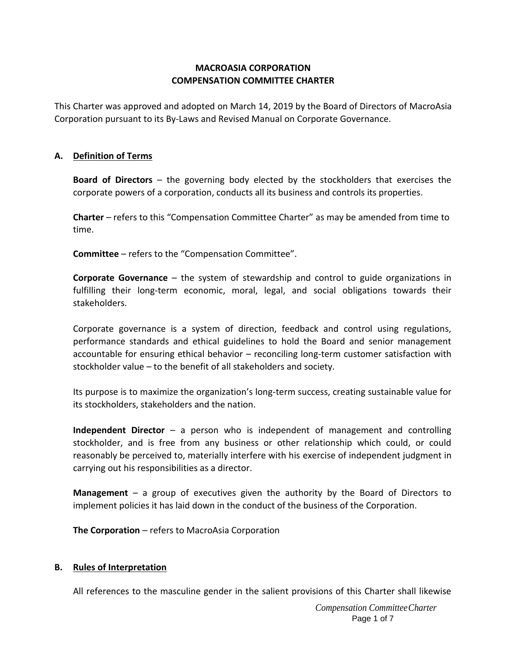# **MACROASIA CORPORATION COMPENSATION COMMITTEE CHARTER**

This Charter was approved and adopted on March 14, 2019 by the Board of Directors of MacroAsia Corporation pursuant to its By‐Laws and Revised Manual on Corporate Governance.

## **A. Definition of Terms**

**Board of Directors** – the governing body elected by the stockholders that exercises the corporate powers of a corporation, conducts all its business and controls its properties.

**Charter** – refers to this "Compensation Committee Charter" as may be amended from time to time.

**Committee** – refers to the "Compensation Committee".

**Corporate Governance** – the system of stewardship and control to guide organizations in fulfilling their long-term economic, moral, legal, and social obligations towards their stakeholders.

Corporate governance is a system of direction, feedback and control using regulations, performance standards and ethical guidelines to hold the Board and senior management accountable for ensuring ethical behavior – reconciling long-term customer satisfaction with stockholder value – to the benefit of all stakeholders and society.

Its purpose is to maximize the organization's long-term success, creating sustainable value for its stockholders, stakeholders and the nation.

**Independent Director** – a person who is independent of management and controlling stockholder, and is free from any business or other relationship which could, or could reasonably be perceived to, materially interfere with his exercise of independent judgment in carrying out his responsibilities as a director.

**Management** – a group of executives given the authority by the Board of Directors to implement policies it has laid down in the conduct of the business of the Corporation.

**The Corporation** – refers to MacroAsia Corporation

#### **B. Rules of Interpretation**

All references to the masculine gender in the salient provisions of this Charter shall likewise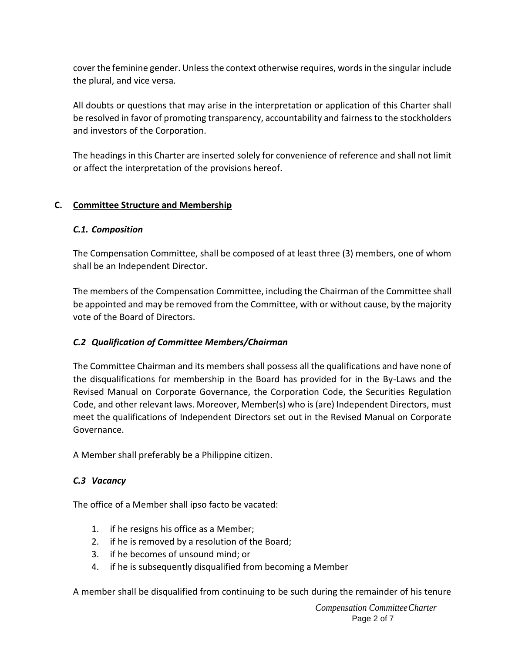cover the feminine gender. Unless the context otherwise requires, words in the singular include the plural, and vice versa.

All doubts or questions that may arise in the interpretation or application of this Charter shall be resolved in favor of promoting transparency, accountability and fairness to the stockholders and investors of the Corporation.

The headings in this Charter are inserted solely for convenience of reference and shall not limit or affect the interpretation of the provisions hereof.

## **C. Committee Structure and Membership**

#### *C.1. Composition*

The Compensation Committee, shall be composed of at least three (3) members, one of whom shall be an Independent Director.

The members of the Compensation Committee, including the Chairman of the Committee shall be appointed and may be removed from the Committee, with or without cause, by the majority vote of the Board of Directors.

## *C.2 Qualification of Committee Members/Chairman*

The Committee Chairman and its members shall possess all the qualifications and have none of the disqualifications for membership in the Board has provided for in the By-Laws and the Revised Manual on Corporate Governance, the Corporation Code, the Securities Regulation Code, and other relevant laws. Moreover, Member(s) who is (are) Independent Directors, must meet the qualifications of Independent Directors set out in the Revised Manual on Corporate Governance.

A Member shall preferably be a Philippine citizen.

#### *C.3 Vacancy*

The office of a Member shall ipso facto be vacated:

- 1. if he resigns his office as a Member;
- 2. if he is removed by a resolution of the Board;
- 3. if he becomes of unsound mind; or
- 4. if he is subsequently disqualified from becoming a Member

A member shall be disqualified from continuing to be such during the remainder of his tenure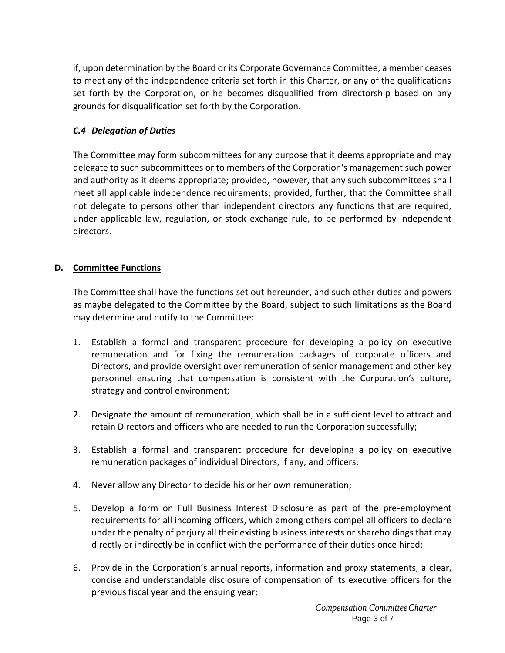if, upon determination by the Board or its Corporate Governance Committee, a member ceases to meet any of the independence criteria set forth in this Charter, or any of the qualifications set forth by the Corporation, or he becomes disqualified from directorship based on any grounds for disqualification set forth by the Corporation.

## *C.4 Delegation of Duties*

The Committee may form subcommittees for any purpose that it deems appropriate and may delegate to such subcommittees or to members of the Corporation's management such power and authority as it deems appropriate; provided, however, that any such subcommittees shall meet all applicable independence requirements; provided, further, that the Committee shall not delegate to persons other than independent directors any functions that are required, under applicable law, regulation, or stock exchange rule, to be performed by independent directors.

# **D. Committee Functions**

The Committee shall have the functions set out hereunder, and such other duties and powers as maybe delegated to the Committee by the Board, subject to such limitations as the Board may determine and notify to the Committee:

- 1. Establish a formal and transparent procedure for developing a policy on executive remuneration and for fixing the remuneration packages of corporate officers and Directors, and provide oversight over remuneration of senior management and other key personnel ensuring that compensation is consistent with the Corporation's culture, strategy and control environment;
- 2. Designate the amount of remuneration, which shall be in a sufficient level to attract and retain Directors and officers who are needed to run the Corporation successfully;
- 3. Establish a formal and transparent procedure for developing a policy on executive remuneration packages of individual Directors, if any, and officers;
- 4. Never allow any Director to decide his or her own remuneration;
- 5. Develop a form on Full Business Interest Disclosure as part of the pre-employment requirements for all incoming officers, which among others compel all officers to declare under the penalty of perjury all their existing business interests or shareholdings that may directly or indirectly be in conflict with the performance of their duties once hired;
- 6. Provide in the Corporation's annual reports, information and proxy statements, a clear, concise and understandable disclosure of compensation of its executive officers for the previous fiscal year and the ensuing year;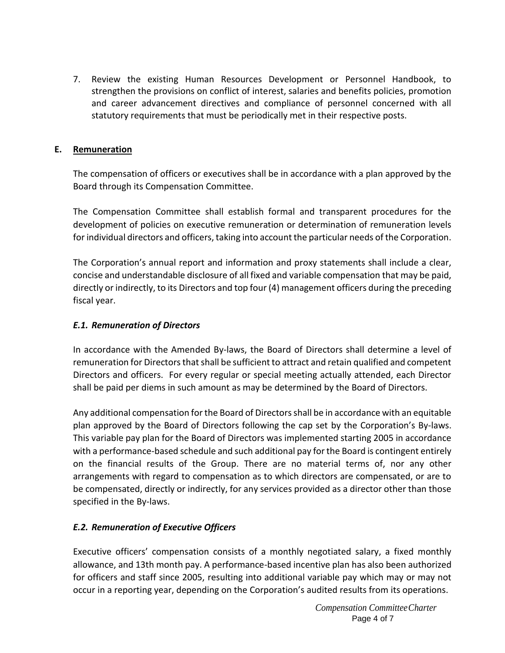7. Review the existing Human Resources Development or Personnel Handbook, to strengthen the provisions on conflict of interest, salaries and benefits policies, promotion and career advancement directives and compliance of personnel concerned with all statutory requirements that must be periodically met in their respective posts.

## **E. Remuneration**

The compensation of officers or executives shall be in accordance with a plan approved by the Board through its Compensation Committee.

The Compensation Committee shall establish formal and transparent procedures for the development of policies on executive remuneration or determination of remuneration levels for individual directors and officers, taking into account the particular needs of the Corporation.

The Corporation's annual report and information and proxy statements shall include a clear, concise and understandable disclosure of all fixed and variable compensation that may be paid, directly or indirectly, to its Directors and top four (4) management officers during the preceding fiscal year.

## *E.1. Remuneration of Directors*

In accordance with the Amended By-laws, the Board of Directors shall determine a level of remuneration for Directors that shall be sufficient to attract and retain qualified and competent Directors and officers. For every regular or special meeting actually attended, each Director shall be paid per diems in such amount as may be determined by the Board of Directors.

Any additional compensation for the Board of Directors shall be in accordance with an equitable plan approved by the Board of Directors following the cap set by the Corporation's By-laws. This variable pay plan for the Board of Directors was implemented starting 2005 in accordance with a performance-based schedule and such additional pay for the Board is contingent entirely on the financial results of the Group. There are no material terms of, nor any other arrangements with regard to compensation as to which directors are compensated, or are to be compensated, directly or indirectly, for any services provided as a director other than those specified in the By-laws.

## *E.2. Remuneration of Executive Officers*

Executive officers' compensation consists of a monthly negotiated salary, a fixed monthly allowance, and 13th month pay. A performance-based incentive plan has also been authorized for officers and staff since 2005, resulting into additional variable pay which may or may not occur in a reporting year, depending on the Corporation's audited results from its operations.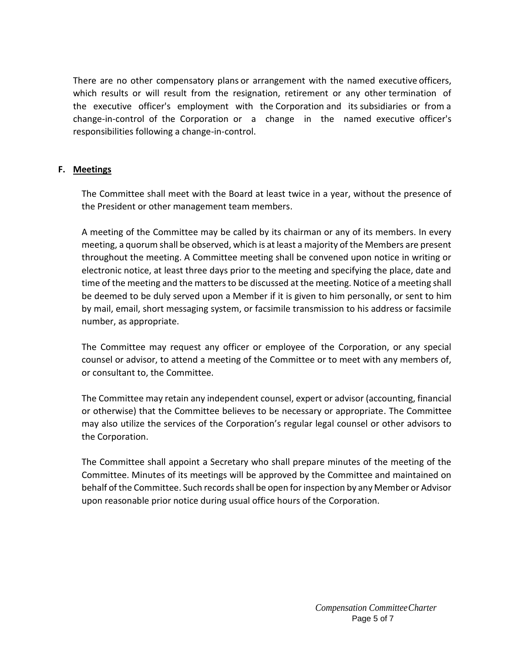There are no other compensatory plans or arrangement with the named executive officers, which results or will result from the resignation, retirement or any other termination of the executive officer's employment with the Corporation and its subsidiaries or from a change-in-control of the Corporation or a change in the named executive officer's responsibilities following a change-in-control.

## **F. Meetings**

The Committee shall meet with the Board at least twice in a year, without the presence of the President or other management team members.

A meeting of the Committee may be called by its chairman or any of its members. In every meeting, a quorum shall be observed, which is at least a majority of the Members are present throughout the meeting. A Committee meeting shall be convened upon notice in writing or electronic notice, at least three days prior to the meeting and specifying the place, date and time of the meeting and the matters to be discussed at the meeting. Notice of a meeting shall be deemed to be duly served upon a Member if it is given to him personally, or sent to him by mail, email, short messaging system, or facsimile transmission to his address or facsimile number, as appropriate.

The Committee may request any officer or employee of the Corporation, or any special counsel or advisor, to attend a meeting of the Committee or to meet with any members of, or consultant to, the Committee.

The Committee may retain any independent counsel, expert or advisor (accounting, financial or otherwise) that the Committee believes to be necessary or appropriate. The Committee may also utilize the services of the Corporation's regular legal counsel or other advisors to the Corporation.

The Committee shall appoint a Secretary who shall prepare minutes of the meeting of the Committee. Minutes of its meetings will be approved by the Committee and maintained on behalf of the Committee. Such records shall be open for inspection by any Member or Advisor upon reasonable prior notice during usual office hours of the Corporation.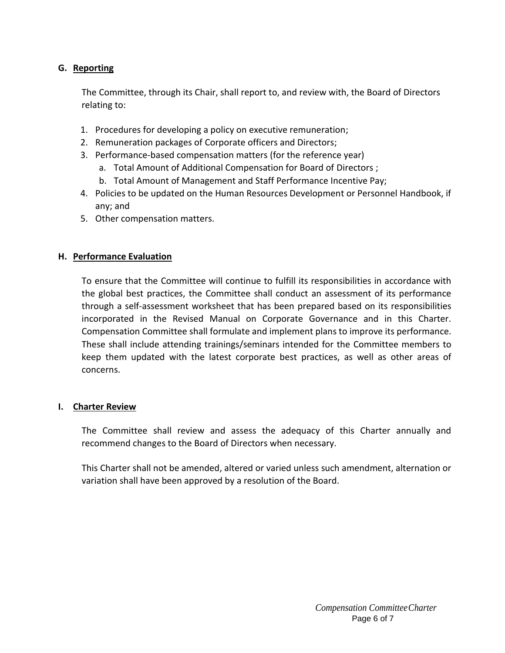# **G. Reporting**

The Committee, through its Chair, shall report to, and review with, the Board of Directors relating to:

- 1. Procedures for developing a policy on executive remuneration;
- 2. Remuneration packages of Corporate officers and Directors;
- 3. Performance-based compensation matters (for the reference year)
	- a. Total Amount of Additional Compensation for Board of Directors ;
	- b. Total Amount of Management and Staff Performance Incentive Pay;
- 4. Policies to be updated on the Human Resources Development or Personnel Handbook, if any; and
- 5. Other compensation matters.

## **H. Performance Evaluation**

To ensure that the Committee will continue to fulfill its responsibilities in accordance with the global best practices, the Committee shall conduct an assessment of its performance through a self‐assessment worksheet that has been prepared based on its responsibilities incorporated in the Revised Manual on Corporate Governance and in this Charter. Compensation Committee shall formulate and implement plans to improve its performance. These shall include attending trainings/seminars intended for the Committee members to keep them updated with the latest corporate best practices, as well as other areas of concerns.

## **I. Charter Review**

The Committee shall review and assess the adequacy of this Charter annually and recommend changes to the Board of Directors when necessary.

This Charter shall not be amended, altered or varied unless such amendment, alternation or variation shall have been approved by a resolution of the Board.